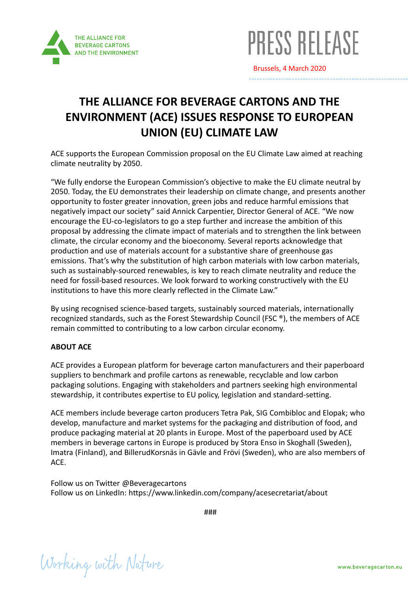



Brussels, 4 March 2020

## **THE ALLIANCE FOR BEVERAGE CARTONS AND THE ENVIRONMENT (ACE) ISSUES RESPONSE TO EUROPEAN UNION (EU) CLIMATE LAW**

ACE supports the European Commission proposal on the EU Climate Law aimed at reaching climate neutrality by 2050.

"We fully endorse the European Commission's objective to make the EU climate neutral by 2050. Today, the EU demonstrates their leadership on climate change, and presents another opportunity to foster greater innovation, green jobs and reduce harmful emissions that negatively impact our society" said Annick Carpentier, Director General of ACE. "We now encourage the EU-co-legislators to go a step further and increase the ambition of this proposal by addressing the climate impact of materials and to strengthen the link between climate, the circular economy and the bioeconomy. Several reports acknowledge that production and use of materials account for a substantive share of greenhouse gas emissions. That's why the substitution of high carbon materials with low carbon materials, such as sustainably-sourced renewables, is key to reach climate neutrality and reduce the need for fossil-based resources. We look forward to working constructively with the EU institutions to have this more clearly reflected in the Climate Law."

By using recognised science-based targets, sustainably sourced materials, internationally recognized standards, such as the Forest Stewardship Council (FSC ®), the members of ACE remain committed to contributing to a low carbon circular economy.

## **ABOUT ACE**

ACE provides a European platform for beverage carton manufacturers and their paperboard suppliers to benchmark and profile cartons as renewable, recyclable and low carbon packaging solutions. Engaging with stakeholders and partners seeking high environmental stewardship, it contributes expertise to EU policy, legislation and standard-setting.

ACE members include beverage carton producers Tetra Pak, SIG Combibloc and Elopak; who develop, manufacture and market systems for the packaging and distribution of food, and produce packaging material at 20 plants in Europe. Most of the paperboard used by ACE members in beverage cartons in Europe is produced by Stora Enso in Skoghall (Sweden), Imatra (Finland), and BillerudKorsnäs in Gävle and Frövi (Sweden), who are also members of ACE.

Follow us on Twitter [@Beveragecartons](https://twitter.com/Beveragecartons) Follow us on LinkedIn:<https://www.linkedin.com/company/acesecretariat/about>

###

Working with Nature